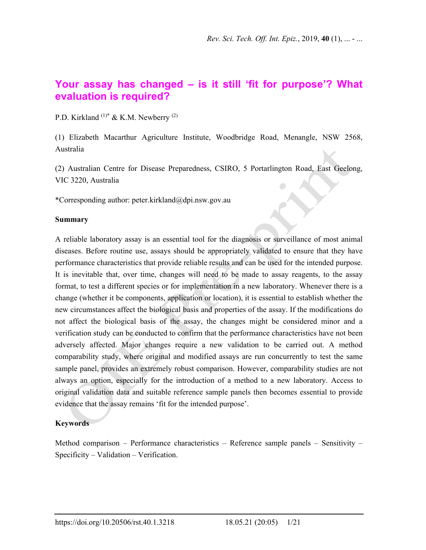# **Your assay has changed – is it still 'fit for purpose'? What evaluation is required?**

P.D. Kirkland<sup>(1)\*</sup> & K.M. Newberry<sup>(2)</sup>

(1) Elizabeth Macarthur Agriculture Institute, Woodbridge Road, Menangle, NSW 2568, Australia

(2) Australian Centre for Disease Preparedness, CSIRO, 5 Portarlington Road, East Geelong, VIC 3220, Australia

\*Corresponding author: peter.kirkland@dpi.nsw.gov.au

#### **Summary**

A reliable laboratory assay is an essential tool for the diagnosis or surveillance of most animal diseases. Before routine use, assays should be appropriately validated to ensure that they have performance characteristics that provide reliable results and can be used for the intended purpose. It is inevitable that, over time, changes will need to be made to assay reagents, to the assay format, to test a different species or for implementation in a new laboratory. Whenever there is a change (whether it be components, application or location), it is essential to establish whether the new circumstances affect the biological basis and properties of the assay. If the modifications do not affect the biological basis of the assay, the changes might be considered minor and a verification study can be conducted to confirm that the performance characteristics have not been adversely affected. Major changes require a new validation to be carried out. A method comparability study, where original and modified assays are run concurrently to test the same sample panel, provides an extremely robust comparison. However, comparability studies are not always an option, especially for the introduction of a method to a new laboratory. Access to original validation data and suitable reference sample panels then becomes essential to provide evidence that the assay remains 'fit for the intended purpose'.

### **Keywords**

Method comparison – Performance characteristics – Reference sample panels – Sensitivity – Specificity – Validation – Verification.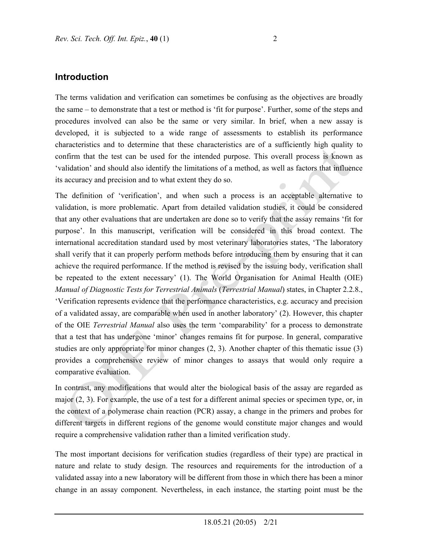## **Introduction**

The terms validation and verification can sometimes be confusing as the objectives are broadly the same – to demonstrate that a test or method is 'fit for purpose'. Further, some of the steps and procedures involved can also be the same or very similar. In brief, when a new assay is developed, it is subjected to a wide range of assessments to establish its performance characteristics and to determine that these characteristics are of a sufficiently high quality to confirm that the test can be used for the intended purpose. This overall process is known as 'validation' and should also identify the limitations of a method, as well as factors that influence its accuracy and precision and to what extent they do so.

The definition of 'verification', and when such a process is an acceptable alternative to validation, is more problematic. Apart from detailed validation studies, it could be considered that any other evaluations that are undertaken are done so to verify that the assay remains 'fit for purpose'. In this manuscript, verification will be considered in this broad context. The international accreditation standard used by most veterinary laboratories states, 'The laboratory shall verify that it can properly perform methods before introducing them by ensuring that it can achieve the required performance. If the method is revised by the issuing body, verification shall be repeated to the extent necessary' (1). The World Organisation for Animal Health (OIE) *Manual of Diagnostic Tests for Terrestrial Animals* (*Terrestrial Manual*) states, in Chapter 2.2.8., 'Verification represents evidence that the performance characteristics, e.g. accuracy and precision of a validated assay, are comparable when used in another laboratory' (2). However, this chapter of the OIE *Terrestrial Manual* also uses the term 'comparability' for a process to demonstrate that a test that has undergone 'minor' changes remains fit for purpose. In general, comparative studies are only appropriate for minor changes (2, 3). Another chapter of this thematic issue (3) provides a comprehensive review of minor changes to assays that would only require a comparative evaluation.

In contrast, any modifications that would alter the biological basis of the assay are regarded as major (2, 3). For example, the use of a test for a different animal species or specimen type, or, in the context of a polymerase chain reaction (PCR) assay, a change in the primers and probes for different targets in different regions of the genome would constitute major changes and would require a comprehensive validation rather than a limited verification study.

The most important decisions for verification studies (regardless of their type) are practical in nature and relate to study design. The resources and requirements for the introduction of a validated assay into a new laboratory will be different from those in which there has been a minor change in an assay component. Nevertheless, in each instance, the starting point must be the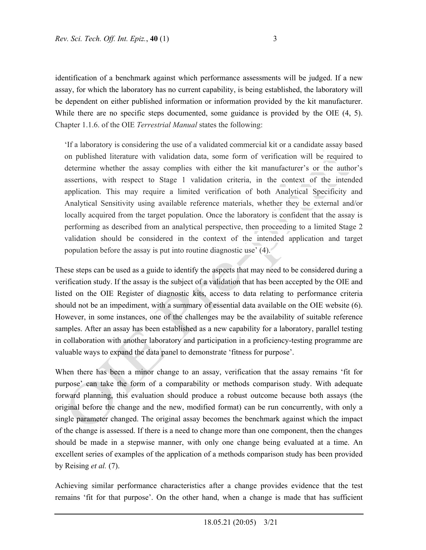identification of a benchmark against which performance assessments will be judged. If a new assay, for which the laboratory has no current capability, is being established, the laboratory will be dependent on either published information or information provided by the kit manufacturer. While there are no specific steps documented, some guidance is provided by the OIE (4, 5). Chapter 1.1.6. of the OIE *Terrestrial Manual* states the following:

'If a laboratory is considering the use of a validated commercial kit or a candidate assay based on published literature with validation data, some form of verification will be required to determine whether the assay complies with either the kit manufacturer's or the author's assertions, with respect to Stage 1 validation criteria, in the context of the intended application. This may require a limited verification of both Analytical Specificity and Analytical Sensitivity using available reference materials, whether they be external and/or locally acquired from the target population. Once the laboratory is confident that the assay is performing as described from an analytical perspective, then proceeding to a limited Stage 2 validation should be considered in the context of the intended application and target population before the assay is put into routine diagnostic use' (4).

These steps can be used as a guide to identify the aspects that may need to be considered during a verification study. If the assay is the subject of a validation that has been accepted by the OIE and listed on the OIE Register of diagnostic kits, access to data relating to performance criteria should not be an impediment, with a summary of essential data available on the OIE website (6). However, in some instances, one of the challenges may be the availability of suitable reference samples. After an assay has been established as a new capability for a laboratory, parallel testing in collaboration with another laboratory and participation in a proficiency-testing programme are valuable ways to expand the data panel to demonstrate 'fitness for purpose'.

When there has been a minor change to an assay, verification that the assay remains 'fit for purpose' can take the form of a comparability or methods comparison study. With adequate forward planning, this evaluation should produce a robust outcome because both assays (the original before the change and the new, modified format) can be run concurrently, with only a single parameter changed. The original assay becomes the benchmark against which the impact of the change is assessed. If there is a need to change more than one component, then the changes should be made in a stepwise manner, with only one change being evaluated at a time. An excellent series of examples of the application of a methods comparison study has been provided by Reising *et al.* (7).

Achieving similar performance characteristics after a change provides evidence that the test remains 'fit for that purpose'. On the other hand, when a change is made that has sufficient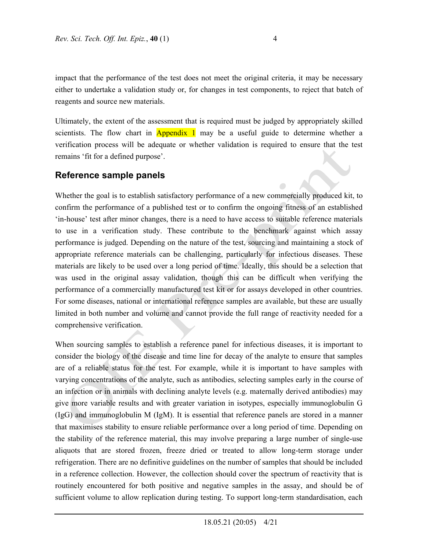impact that the performance of the test does not meet the original criteria, it may be necessary either to undertake a validation study or, for changes in test components, to reject that batch of reagents and source new materials.

Ultimately, the extent of the assessment that is required must be judged by appropriately skilled scientists. The flow chart in **Appendix 1** may be a useful guide to determine whether a verification process will be adequate or whether validation is required to ensure that the test remains 'fit for a defined purpose'.

### **Reference sample panels**

Whether the goal is to establish satisfactory performance of a new commercially produced kit, to confirm the performance of a published test or to confirm the ongoing fitness of an established 'in-house' test after minor changes, there is a need to have access to suitable reference materials to use in a verification study. These contribute to the benchmark against which assay performance is judged. Depending on the nature of the test, sourcing and maintaining a stock of appropriate reference materials can be challenging, particularly for infectious diseases. These materials are likely to be used over a long period of time. Ideally, this should be a selection that was used in the original assay validation, though this can be difficult when verifying the performance of a commercially manufactured test kit or for assays developed in other countries. For some diseases, national or international reference samples are available, but these are usually limited in both number and volume and cannot provide the full range of reactivity needed for a comprehensive verification.

When sourcing samples to establish a reference panel for infectious diseases, it is important to consider the biology of the disease and time line for decay of the analyte to ensure that samples are of a reliable status for the test. For example, while it is important to have samples with varying concentrations of the analyte, such as antibodies, selecting samples early in the course of an infection or in animals with declining analyte levels (e.g. maternally derived antibodies) may give more variable results and with greater variation in isotypes, especially immunoglobulin G (IgG) and immunoglobulin M (IgM). It is essential that reference panels are stored in a manner that maximises stability to ensure reliable performance over a long period of time. Depending on the stability of the reference material, this may involve preparing a large number of single-use aliquots that are stored frozen, freeze dried or treated to allow long-term storage under refrigeration. There are no definitive guidelines on the number of samples that should be included in a reference collection. However, the collection should cover the spectrum of reactivity that is routinely encountered for both positive and negative samples in the assay, and should be of sufficient volume to allow replication during testing. To support long-term standardisation, each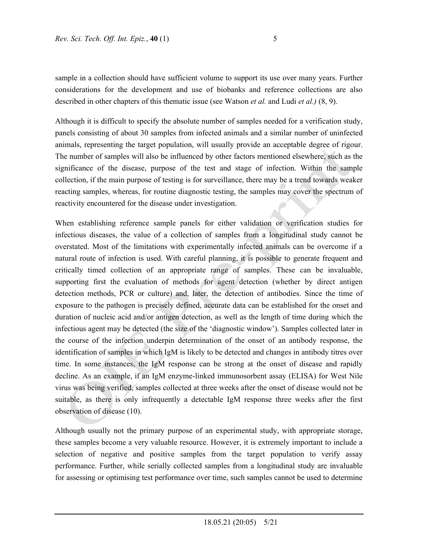sample in a collection should have sufficient volume to support its use over many years. Further considerations for the development and use of biobanks and reference collections are also described in other chapters of this thematic issue (see Watson *et al.* and Ludi *et al.)* (8, 9).

Although it is difficult to specify the absolute number of samples needed for a verification study, panels consisting of about 30 samples from infected animals and a similar number of uninfected animals, representing the target population, will usually provide an acceptable degree of rigour. The number of samples will also be influenced by other factors mentioned elsewhere, such as the significance of the disease, purpose of the test and stage of infection. Within the sample collection, if the main purpose of testing is for surveillance, there may be a trend towards weaker reacting samples, whereas, for routine diagnostic testing, the samples may cover the spectrum of reactivity encountered for the disease under investigation.

When establishing reference sample panels for either validation or verification studies for infectious diseases, the value of a collection of samples from a longitudinal study cannot be overstated. Most of the limitations with experimentally infected animals can be overcome if a natural route of infection is used. With careful planning, it is possible to generate frequent and critically timed collection of an appropriate range of samples. These can be invaluable, supporting first the evaluation of methods for agent detection (whether by direct antigen detection methods, PCR or culture) and, later, the detection of antibodies. Since the time of exposure to the pathogen is precisely defined, accurate data can be established for the onset and duration of nucleic acid and/or antigen detection, as well as the length of time during which the infectious agent may be detected (the size of the 'diagnostic window'). Samples collected later in the course of the infection underpin determination of the onset of an antibody response, the identification of samples in which IgM is likely to be detected and changes in antibody titres over time. In some instances, the IgM response can be strong at the onset of disease and rapidly decline. As an example, if an IgM enzyme-linked immunosorbent assay (ELISA) for West Nile virus was being verified, samples collected at three weeks after the onset of disease would not be suitable, as there is only infrequently a detectable IgM response three weeks after the first observation of disease (10).

Although usually not the primary purpose of an experimental study, with appropriate storage, these samples become a very valuable resource. However, it is extremely important to include a selection of negative and positive samples from the target population to verify assay performance. Further, while serially collected samples from a longitudinal study are invaluable for assessing or optimising test performance over time, such samples cannot be used to determine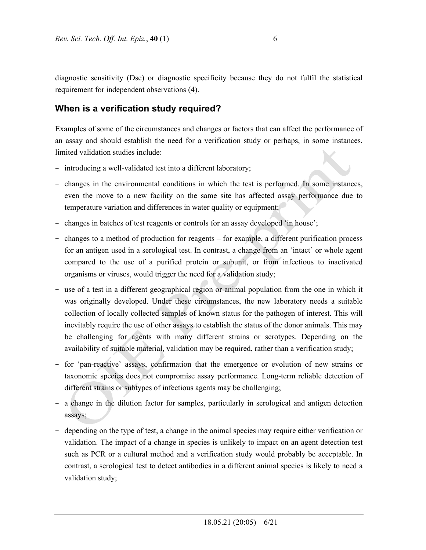diagnostic sensitivity (Dse) or diagnostic specificity because they do not fulfil the statistical requirement for independent observations (4).

# **When is a verification study required?**

Examples of some of the circumstances and changes or factors that can affect the performance of an assay and should establish the need for a verification study or perhaps, in some instances, limited validation studies include:

- − introducing a well-validated test into a different laboratory;
- − changes in the environmental conditions in which the test is performed. In some instances, even the move to a new facility on the same site has affected assay performance due to temperature variation and differences in water quality or equipment;
- − changes in batches of test reagents or controls for an assay developed 'in house';
- − changes to a method of production for reagents for example, a different purification process for an antigen used in a serological test. In contrast, a change from an 'intact' or whole agent compared to the use of a purified protein or subunit, or from infectious to inactivated organisms or viruses, would trigger the need for a validation study;
- − use of a test in a different geographical region or animal population from the one in which it was originally developed. Under these circumstances, the new laboratory needs a suitable collection of locally collected samples of known status for the pathogen of interest. This will inevitably require the use of other assays to establish the status of the donor animals. This may be challenging for agents with many different strains or serotypes. Depending on the availability of suitable material, validation may be required, rather than a verification study;
- − for 'pan-reactive' assays, confirmation that the emergence or evolution of new strains or taxonomic species does not compromise assay performance. Long-term reliable detection of different strains or subtypes of infectious agents may be challenging;
- − a change in the dilution factor for samples, particularly in serological and antigen detection assays;
- − depending on the type of test, a change in the animal species may require either verification or validation. The impact of a change in species is unlikely to impact on an agent detection test such as PCR or a cultural method and a verification study would probably be acceptable. In contrast, a serological test to detect antibodies in a different animal species is likely to need a validation study;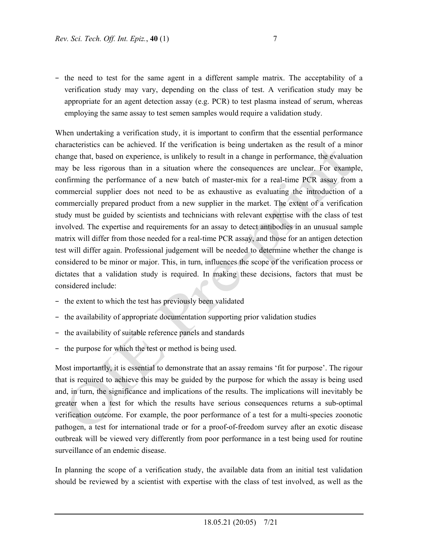− the need to test for the same agent in a different sample matrix. The acceptability of a verification study may vary, depending on the class of test. A verification study may be appropriate for an agent detection assay (e.g. PCR) to test plasma instead of serum, whereas employing the same assay to test semen samples would require a validation study.

When undertaking a verification study, it is important to confirm that the essential performance characteristics can be achieved. If the verification is being undertaken as the result of a minor change that, based on experience, is unlikely to result in a change in performance, the evaluation may be less rigorous than in a situation where the consequences are unclear. For example, confirming the performance of a new batch of master-mix for a real-time PCR assay from a commercial supplier does not need to be as exhaustive as evaluating the introduction of a commercially prepared product from a new supplier in the market. The extent of a verification study must be guided by scientists and technicians with relevant expertise with the class of test involved. The expertise and requirements for an assay to detect antibodies in an unusual sample matrix will differ from those needed for a real-time PCR assay, and those for an antigen detection test will differ again. Professional judgement will be needed to determine whether the change is considered to be minor or major. This, in turn, influences the scope of the verification process or dictates that a validation study is required. In making these decisions, factors that must be considered include:

- − the extent to which the test has previously been validated
- − the availability of appropriate documentation supporting prior validation studies
- − the availability of suitable reference panels and standards
- − the purpose for which the test or method is being used.

Most importantly, it is essential to demonstrate that an assay remains 'fit for purpose'. The rigour that is required to achieve this may be guided by the purpose for which the assay is being used and, in turn, the significance and implications of the results. The implications will inevitably be greater when a test for which the results have serious consequences returns a sub-optimal verification outcome. For example, the poor performance of a test for a multi-species zoonotic pathogen, a test for international trade or for a proof-of-freedom survey after an exotic disease outbreak will be viewed very differently from poor performance in a test being used for routine surveillance of an endemic disease.

In planning the scope of a verification study, the available data from an initial test validation should be reviewed by a scientist with expertise with the class of test involved, as well as the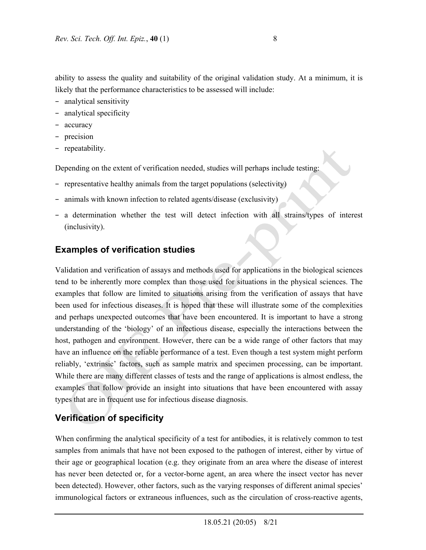ability to assess the quality and suitability of the original validation study. At a minimum, it is likely that the performance characteristics to be assessed will include:

- − analytical sensitivity
- − analytical specificity
- − accuracy
- − precision
- − repeatability.

Depending on the extent of verification needed, studies will perhaps include testing:

- − representative healthy animals from the target populations (selectivity)
- − animals with known infection to related agents/disease (exclusivity)
- − a determination whether the test will detect infection with all strains/types of interest (inclusivity).

# **Examples of verification studies**

Validation and verification of assays and methods used for applications in the biological sciences tend to be inherently more complex than those used for situations in the physical sciences. The examples that follow are limited to situations arising from the verification of assays that have been used for infectious diseases. It is hoped that these will illustrate some of the complexities and perhaps unexpected outcomes that have been encountered. It is important to have a strong understanding of the 'biology' of an infectious disease, especially the interactions between the host, pathogen and environment. However, there can be a wide range of other factors that may have an influence on the reliable performance of a test. Even though a test system might perform reliably, 'extrinsic' factors, such as sample matrix and specimen processing, can be important. While there are many different classes of tests and the range of applications is almost endless, the examples that follow provide an insight into situations that have been encountered with assay types that are in frequent use for infectious disease diagnosis.

# **Verification of specificity**

When confirming the analytical specificity of a test for antibodies, it is relatively common to test samples from animals that have not been exposed to the pathogen of interest, either by virtue of their age or geographical location (e.g. they originate from an area where the disease of interest has never been detected or, for a vector-borne agent, an area where the insect vector has never been detected). However, other factors, such as the varying responses of different animal species' immunological factors or extraneous influences, such as the circulation of cross-reactive agents,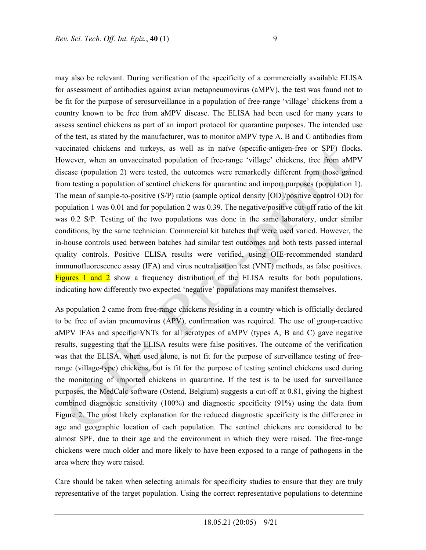may also be relevant. During verification of the specificity of a commercially available ELISA for assessment of antibodies against avian metapneumovirus (aMPV), the test was found not to be fit for the purpose of serosurveillance in a population of free-range 'village' chickens from a country known to be free from aMPV disease. The ELISA had been used for many years to assess sentinel chickens as part of an import protocol for quarantine purposes. The intended use of the test, as stated by the manufacturer, was to monitor aMPV type A, B and C antibodies from vaccinated chickens and turkeys, as well as in naïve (specific-antigen-free or SPF) flocks. However, when an unvaccinated population of free-range 'village' chickens, free from aMPV disease (population 2) were tested, the outcomes were remarkedly different from those gained from testing a population of sentinel chickens for quarantine and import purposes (population 1). The mean of sample-to-positive (S/P) ratio (sample optical density [OD]/positive control OD) for population 1 was 0.01 and for population 2 was 0.39. The negative/positive cut-off ratio of the kit was 0.2 S/P. Testing of the two populations was done in the same laboratory, under similar conditions, by the same technician. Commercial kit batches that were used varied. However, the in-house controls used between batches had similar test outcomes and both tests passed internal quality controls. Positive ELISA results were verified, using OIE-recommended standard immunofluorescence assay (IFA) and virus neutralisation test (VNT) methods, as false positives. Figures 1 and 2 show a frequency distribution of the ELISA results for both populations, indicating how differently two expected 'negative' populations may manifest themselves.

As population 2 came from free-range chickens residing in a country which is officially declared to be free of avian pneumovirus (APV), confirmation was required. The use of group-reactive aMPV IFAs and specific VNTs for all serotypes of aMPV (types A, B and C) gave negative results, suggesting that the ELISA results were false positives. The outcome of the verification was that the ELISA, when used alone, is not fit for the purpose of surveillance testing of freerange (village-type) chickens, but is fit for the purpose of testing sentinel chickens used during the monitoring of imported chickens in quarantine. If the test is to be used for surveillance purposes, the MedCalc software (Ostend, Belgium) suggests a cut-off at 0.81, giving the highest combined diagnostic sensitivity (100%) and diagnostic specificity (91%) using the data from Figure 2. The most likely explanation for the reduced diagnostic specificity is the difference in age and geographic location of each population. The sentinel chickens are considered to be almost SPF, due to their age and the environment in which they were raised. The free-range chickens were much older and more likely to have been exposed to a range of pathogens in the area where they were raised.

Care should be taken when selecting animals for specificity studies to ensure that they are truly representative of the target population. Using the correct representative populations to determine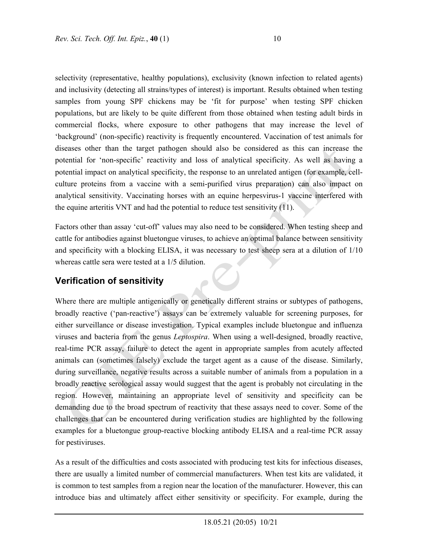selectivity (representative, healthy populations), exclusivity (known infection to related agents) and inclusivity (detecting all strains/types of interest) is important. Results obtained when testing samples from young SPF chickens may be 'fit for purpose' when testing SPF chicken populations, but are likely to be quite different from those obtained when testing adult birds in commercial flocks, where exposure to other pathogens that may increase the level of 'background' (non-specific) reactivity is frequently encountered. Vaccination of test animals for diseases other than the target pathogen should also be considered as this can increase the potential for 'non-specific' reactivity and loss of analytical specificity. As well as having a potential impact on analytical specificity, the response to an unrelated antigen (for example, cellculture proteins from a vaccine with a semi-purified virus preparation) can also impact on analytical sensitivity. Vaccinating horses with an equine herpesvirus-1 vaccine interfered with the equine arteritis VNT and had the potential to reduce test sensitivity (11).

Factors other than assay 'cut-off' values may also need to be considered. When testing sheep and cattle for antibodies against bluetongue viruses, to achieve an optimal balance between sensitivity and specificity with a blocking ELISA, it was necessary to test sheep sera at a dilution of 1/10 whereas cattle sera were tested at a 1/5 dilution.

# **Verification of sensitivity**

Where there are multiple antigenically or genetically different strains or subtypes of pathogens, broadly reactive ('pan-reactive') assays can be extremely valuable for screening purposes, for either surveillance or disease investigation. Typical examples include bluetongue and influenza viruses and bacteria from the genus *Leptospira*. When using a well-designed, broadly reactive, real-time PCR assay, failure to detect the agent in appropriate samples from acutely affected animals can (sometimes falsely) exclude the target agent as a cause of the disease. Similarly, during surveillance, negative results across a suitable number of animals from a population in a broadly reactive serological assay would suggest that the agent is probably not circulating in the region. However, maintaining an appropriate level of sensitivity and specificity can be demanding due to the broad spectrum of reactivity that these assays need to cover. Some of the challenges that can be encountered during verification studies are highlighted by the following examples for a bluetongue group-reactive blocking antibody ELISA and a real-time PCR assay for pestiviruses.

As a result of the difficulties and costs associated with producing test kits for infectious diseases, there are usually a limited number of commercial manufacturers. When test kits are validated, it is common to test samples from a region near the location of the manufacturer. However, this can introduce bias and ultimately affect either sensitivity or specificity. For example, during the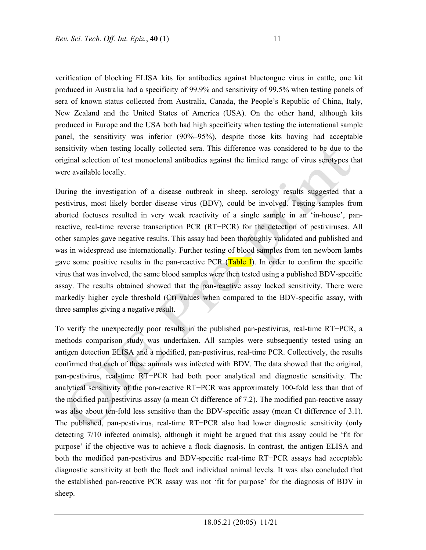verification of blocking ELISA kits for antibodies against bluetongue virus in cattle, one kit produced in Australia had a specificity of 99.9% and sensitivity of 99.5% when testing panels of sera of known status collected from Australia, Canada, the People's Republic of China, Italy, New Zealand and the United States of America (USA). On the other hand, although kits produced in Europe and the USA both had high specificity when testing the international sample panel, the sensitivity was inferior (90%–95%), despite those kits having had acceptable sensitivity when testing locally collected sera. This difference was considered to be due to the original selection of test monoclonal antibodies against the limited range of virus serotypes that were available locally.

During the investigation of a disease outbreak in sheep, serology results suggested that a pestivirus, most likely border disease virus (BDV), could be involved. Testing samples from aborted foetuses resulted in very weak reactivity of a single sample in an 'in-house', panreactive, real-time reverse transcription PCR (RT−PCR) for the detection of pestiviruses. All other samples gave negative results. This assay had been thoroughly validated and published and was in widespread use internationally. Further testing of blood samples from ten newborn lambs gave some positive results in the pan-reactive PCR (Table I). In order to confirm the specific virus that was involved, the same blood samples were then tested using a published BDV-specific assay. The results obtained showed that the pan-reactive assay lacked sensitivity. There were markedly higher cycle threshold (Ct) values when compared to the BDV-specific assay, with three samples giving a negative result.

To verify the unexpectedly poor results in the published pan-pestivirus, real-time RT−PCR, a methods comparison study was undertaken. All samples were subsequently tested using an antigen detection ELISA and a modified, pan-pestivirus, real-time PCR. Collectively, the results confirmed that each of these animals was infected with BDV. The data showed that the original, pan-pestivirus, real-time RT−PCR had both poor analytical and diagnostic sensitivity. The analytical sensitivity of the pan-reactive RT−PCR was approximately 100-fold less than that of the modified pan-pestivirus assay (a mean Ct difference of 7.2). The modified pan-reactive assay was also about ten-fold less sensitive than the BDV-specific assay (mean Ct difference of 3.1). The published, pan-pestivirus, real-time RT−PCR also had lower diagnostic sensitivity (only detecting 7/10 infected animals), although it might be argued that this assay could be 'fit for purpose' if the objective was to achieve a flock diagnosis. In contrast, the antigen ELISA and both the modified pan-pestivirus and BDV-specific real-time RT−PCR assays had acceptable diagnostic sensitivity at both the flock and individual animal levels. It was also concluded that the established pan-reactive PCR assay was not 'fit for purpose' for the diagnosis of BDV in sheep.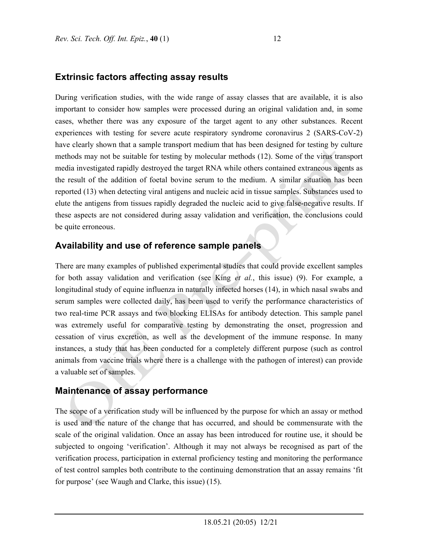### **Extrinsic factors affecting assay results**

During verification studies, with the wide range of assay classes that are available, it is also important to consider how samples were processed during an original validation and, in some cases, whether there was any exposure of the target agent to any other substances. Recent experiences with testing for severe acute respiratory syndrome coronavirus 2 (SARS-CoV-2) have clearly shown that a sample transport medium that has been designed for testing by culture methods may not be suitable for testing by molecular methods (12). Some of the virus transport media investigated rapidly destroyed the target RNA while others contained extraneous agents as the result of the addition of foetal bovine serum to the medium. A similar situation has been reported (13) when detecting viral antigens and nucleic acid in tissue samples. Substances used to elute the antigens from tissues rapidly degraded the nucleic acid to give false-negative results. If these aspects are not considered during assay validation and verification, the conclusions could be quite erroneous.

## **Availability and use of reference sample panels**

There are many examples of published experimental studies that could provide excellent samples for both assay validation and verification (see King *et al.*, this issue) (9). For example, a longitudinal study of equine influenza in naturally infected horses (14), in which nasal swabs and serum samples were collected daily, has been used to verify the performance characteristics of two real-time PCR assays and two blocking ELISAs for antibody detection. This sample panel was extremely useful for comparative testing by demonstrating the onset, progression and cessation of virus excretion, as well as the development of the immune response. In many instances, a study that has been conducted for a completely different purpose (such as control animals from vaccine trials where there is a challenge with the pathogen of interest) can provide a valuable set of samples.

### **Maintenance of assay performance**

The scope of a verification study will be influenced by the purpose for which an assay or method is used and the nature of the change that has occurred, and should be commensurate with the scale of the original validation. Once an assay has been introduced for routine use, it should be subjected to ongoing 'verification'. Although it may not always be recognised as part of the verification process, participation in external proficiency testing and monitoring the performance of test control samples both contribute to the continuing demonstration that an assay remains 'fit for purpose' (see Waugh and Clarke, this issue) (15).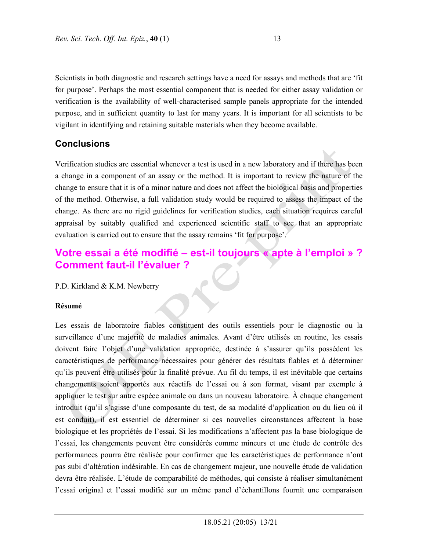Scientists in both diagnostic and research settings have a need for assays and methods that are 'fit for purpose'. Perhaps the most essential component that is needed for either assay validation or verification is the availability of well-characterised sample panels appropriate for the intended purpose, and in sufficient quantity to last for many years. It is important for all scientists to be vigilant in identifying and retaining suitable materials when they become available.

## **Conclusions**

Verification studies are essential whenever a test is used in a new laboratory and if there has been a change in a component of an assay or the method. It is important to review the nature of the change to ensure that it is of a minor nature and does not affect the biological basis and properties of the method. Otherwise, a full validation study would be required to assess the impact of the change. As there are no rigid guidelines for verification studies, each situation requires careful appraisal by suitably qualified and experienced scientific staff to see that an appropriate evaluation is carried out to ensure that the assay remains 'fit for purpose'.

# **Votre essai a été modifié – est-il toujours « apte à l'emploi » ? Comment faut-il l'évaluer ?**

P.D. Kirkland & K.M. Newberry

#### **Résumé**

Les essais de laboratoire fiables constituent des outils essentiels pour le diagnostic ou la surveillance d'une majorité de maladies animales. Avant d'être utilisés en routine, les essais doivent faire l'objet d'une validation appropriée, destinée à s'assurer qu'ils possèdent les caractéristiques de performance nécessaires pour générer des résultats fiables et à déterminer qu'ils peuvent être utilisés pour la finalité prévue. Au fil du temps, il est inévitable que certains changements soient apportés aux réactifs de l'essai ou à son format, visant par exemple à appliquer le test sur autre espèce animale ou dans un nouveau laboratoire. À chaque changement introduit (qu'il s'agisse d'une composante du test, de sa modalité d'application ou du lieu où il est conduit), il est essentiel de déterminer si ces nouvelles circonstances affectent la base biologique et les propriétés de l'essai. Si les modifications n'affectent pas la base biologique de l'essai, les changements peuvent être considérés comme mineurs et une étude de contrôle des performances pourra être réalisée pour confirmer que les caractéristiques de performance n'ont pas subi d'altération indésirable. En cas de changement majeur, une nouvelle étude de validation devra être réalisée. L'étude de comparabilité de méthodes, qui consiste à réaliser simultanément l'essai original et l'essai modifié sur un même panel d'échantillons fournit une comparaison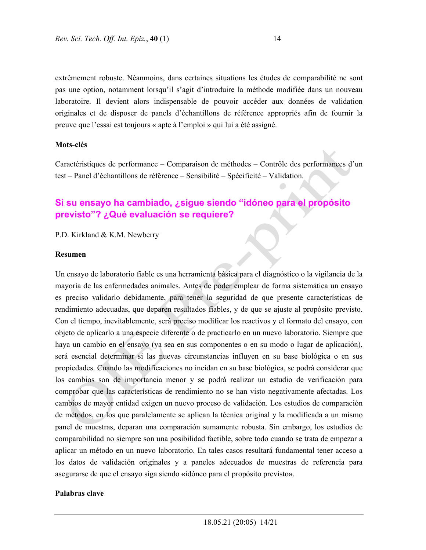extrêmement robuste. Néanmoins, dans certaines situations les études de comparabilité ne sont pas une option, notamment lorsqu'il s'agit d'introduire la méthode modifiée dans un nouveau laboratoire. Il devient alors indispensable de pouvoir accéder aux données de validation originales et de disposer de panels d'échantillons de référence appropriés afin de fournir la preuve que l'essai est toujours « apte à l'emploi » qui lui a été assigné.

#### **Mots-clés**

Caractéristiques de performance – Comparaison de méthodes – Contrôle des performances d'un test – Panel d'échantillons de référence – Sensibilité – Spécificité – Validation.

# **Si su ensayo ha cambiado, ¿sigue siendo "idóneo para el propósito previsto"? ¿Qué evaluación se requiere?**

P.D. Kirkland & K.M. Newberry

#### **Resumen**

Un ensayo de laboratorio fiable es una herramienta básica para el diagnóstico o la vigilancia de la mayoría de las enfermedades animales. Antes de poder emplear de forma sistemática un ensayo es preciso validarlo debidamente, para tener la seguridad de que presente características de rendimiento adecuadas, que deparen resultados fiables, y de que se ajuste al propósito previsto. Con el tiempo, inevitablemente, será preciso modificar los reactivos y el formato del ensayo, con objeto de aplicarlo a una especie diferente o de practicarlo en un nuevo laboratorio. Siempre que haya un cambio en el ensayo (ya sea en sus componentes o en su modo o lugar de aplicación), será esencial determinar si las nuevas circunstancias influyen en su base biológica o en sus propiedades. Cuando las modificaciones no incidan en su base biológica, se podrá considerar que los cambios son de importancia menor y se podrá realizar un estudio de verificación para comprobar que las características de rendimiento no se han visto negativamente afectadas. Los cambios de mayor entidad exigen un nuevo proceso de validación. Los estudios de comparación de métodos, en los que paralelamente se aplican la técnica original y la modificada a un mismo panel de muestras, deparan una comparación sumamente robusta. Sin embargo, los estudios de comparabilidad no siempre son una posibilidad factible, sobre todo cuando se trata de empezar a aplicar un método en un nuevo laboratorio. En tales casos resultará fundamental tener acceso a los datos de validación originales y a paneles adecuados de muestras de referencia para asegurarse de que el ensayo siga siendo **«**idóneo para el propósito previsto**»**.

#### **Palabras clave**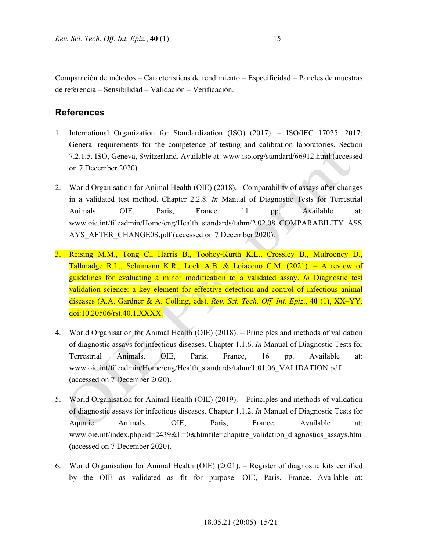Comparación de métodos – Características de rendimiento – Especificidad – Paneles de muestras de referencia – Sensibilidad – Validación – Verificación.

## **References**

- 1. International Organization for Standardization (ISO) (2017). ISO/IEC 17025: 2017: General requirements for the competence of testing and calibration laboratories. Section 7.2.1.5. ISO, Geneva, Switzerland. Available at: www.iso.org/standard/66912.html (accessed on 7 December 2020).
- 2. World Organisation for Animal Health (OIE) (2018). –Comparability of assays after changes in a validated test method. Chapter 2.2.8. *In* Manual of Diagnostic Tests for Terrestrial Animals. OIE, Paris, France, 11 pp. Available at: www.oie.int/fileadmin/Home/eng/Health\_standards/tahm/2.02.08\_COMPARABILITY\_ASS AYS AFTER CHANGE0S.pdf (accessed on 7 December 2020).
- 3. Reising M.M., Tong C., Harris B., Toohey-Kurth K.L., Crossley B., Mulrooney D., Tallmadge R.L., Schumann K.R., Lock A.B. & Loiacono C.M. (2021). – A review of guidelines for evaluating a minor modification to a validated assay. *In* Diagnostic test validation science: a key element for effective detection and control of infectious animal diseases (A.A. Gardner & A. Colling, eds). *Rev. Sci. Tech. Off. Int. Epiz*., **40** (1), XX–YY. doi:10.20506/rst.40.1.XXXX.
- 4. World Organisation for Animal Health (OIE) (2018). Principles and methods of validation of diagnostic assays for infectious diseases. Chapter 1.1.6. *In* Manual of Diagnostic Tests for Terrestrial Animals. OIE, Paris, France, 16 pp. Available at: www.oie.int/fileadmin/Home/eng/Health\_standards/tahm/1.01.06\_VALIDATION.pdf (accessed on 7 December 2020).
- 5. World Organisation for Animal Health (OIE) (2019). Principles and methods of validation of diagnostic assays for infectious diseases. Chapter 1.1.2. *In* Manual of Diagnostic Tests for Aquatic Animals. OIE, Paris, France. Available at: www.oie.int/index.php?id=2439&L=0&htmfile=chapitre\_validation\_diagnostics\_assays.htm (accessed on 7 December 2020).
- 6. World Organisation for Animal Health (OIE) (2021). Register of diagnostic kits certified by the OIE as validated as fit for purpose. OIE, Paris, France. Available at: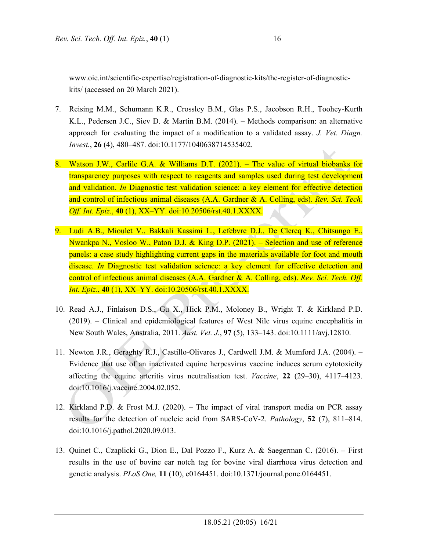- 7. Reising M.M., Schumann K.R., Crossley B.M., Glas P.S., Jacobson R.H., Toohey-Kurth K.L., Pedersen J.C., Siev D. & Martin B.M. (2014). – Methods comparison: an alternative approach for evaluating the impact of a modification to a validated assay. *J. Vet. Diagn. Invest.*, **26** (4), 480–487. doi:10.1177/1040638714535402.
- 8. Watson J.W., Carlile G.A. & Williams D.T. (2021). The value of virtual biobanks for transparency purposes with respect to reagents and samples used during test development and validation. *In* Diagnostic test validation science: a key element for effective detection and control of infectious animal diseases (A.A. Gardner & A. Colling, eds). *Rev. Sci. Tech. Off. Int. Epiz*., **40** (1), XX–YY. doi:10.20506/rst.40.1.XXXX.
- 9. Ludi A.B., Mioulet V., Bakkali Kassimi L., Lefebvre D.J., De Clercq K., Chitsungo E., Nwankpa N., Vosloo W., Paton D.J. & King D.P. (2021). – Selection and use of reference panels: a case study highlighting current gaps in the materials available for foot and mouth disease. *In* Diagnostic test validation science: a key element for effective detection and control of infectious animal diseases (A.A. Gardner & A. Colling, eds). *Rev. Sci. Tech. Off. Int. Epiz*., **40** (1), XX–YY. doi:10.20506/rst.40.1.XXXX.
- 10. Read A.J., Finlaison D.S., Gu X., Hick P.M., Moloney B., Wright T. & Kirkland P.D. (2019). – Clinical and epidemiological features of West Nile virus equine encephalitis in New South Wales, Australia, 2011. *Aust. Vet. J.*, **97** (5), 133–143. doi:10.1111/avj.12810.
- 11. Newton J.R., Geraghty R.J., Castillo-Olivares J., Cardwell J.M. & Mumford J.A. (2004). Evidence that use of an inactivated equine herpesvirus vaccine induces serum cytotoxicity affecting the equine arteritis virus neutralisation test. *Vaccine*, **22** (29–30), 4117–4123. doi:10.1016/j.vaccine.2004.02.052.
- 12. Kirkland P.D. & Frost M.J. (2020). The impact of viral transport media on PCR assay results for the detection of nucleic acid from SARS-CoV-2. *Pathology*, **52** (7), 811–814. doi:10.1016/j.pathol.2020.09.013.
- 13. Quinet C., Czaplicki G., Dion E., Dal Pozzo F., Kurz A. & Saegerman C. (2016). First results in the use of bovine ear notch tag for bovine viral diarrhoea virus detection and genetic analysis. *PLoS One,* **11** (10), e0164451. doi:10.1371/journal.pone.0164451.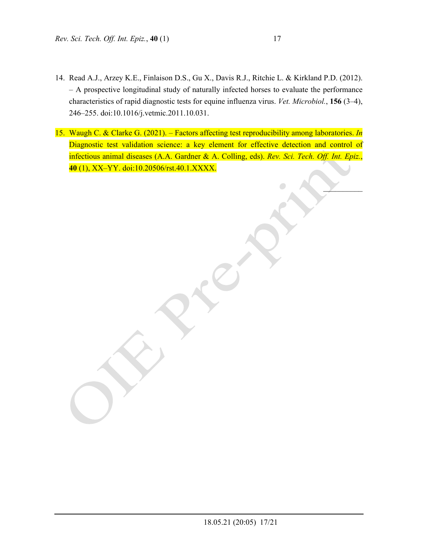- 14. Read A.J., Arzey K.E., Finlaison D.S., Gu X., Davis R.J., Ritchie L. & Kirkland P.D. (2012). – A prospective longitudinal study of naturally infected horses to evaluate the performance characteristics of rapid diagnostic tests for equine influenza virus. *Vet. Microbiol.*, **156** (3–4), 246–255. doi:10.1016/j.vetmic.2011.10.031.
- 15. Waugh C. & Clarke G. (2021). Factors affecting test reproducibility among laboratories. *In* Diagnostic test validation science: a key element for effective detection and control of infectious animal diseases (A.A. Gardner & A. Colling, eds). *Rev. Sci. Tech. Off. Int. Epiz.*, **40** (1), XX–YY. doi:10.20506/rst.40.1.XXXX.

 $\mathcal{L}$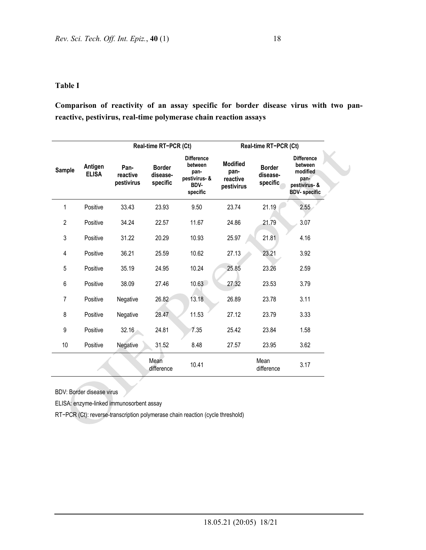#### **Table I**

**Comparison of reactivity of an assay specific for border disease virus with two panreactive, pestivirus, real-time polymerase chain reaction assays** 

| Sample         | Antigen<br><b>ELISA</b> | Real-time RT-PCR (Ct)          |                                       |                                                                           | Real-time RT-PCR (Ct)                             |                                       |                                                                                           |
|----------------|-------------------------|--------------------------------|---------------------------------------|---------------------------------------------------------------------------|---------------------------------------------------|---------------------------------------|-------------------------------------------------------------------------------------------|
|                |                         | Pan-<br>reactive<br>pestivirus | <b>Border</b><br>disease-<br>specific | <b>Difference</b><br>between<br>pan-<br>pestivirus- &<br>BDV-<br>specific | <b>Modified</b><br>pan-<br>reactive<br>pestivirus | <b>Border</b><br>disease-<br>specific | <b>Difference</b><br>between<br>modified<br>pan-<br>pestivirus- &<br><b>BDV-</b> specific |
| 1              | Positive                | 33.43                          | 23.93                                 | 9.50                                                                      | 23.74                                             | 21.19                                 | 2.55                                                                                      |
| $\overline{2}$ | Positive                | 34.24                          | 22.57                                 | 11.67                                                                     | 24.86                                             | 21.79                                 | 3.07                                                                                      |
| 3              | Positive                | 31.22                          | 20.29                                 | 10.93                                                                     | 25.97                                             | 21.81                                 | 4.16                                                                                      |
| 4              | Positive                | 36.21                          | 25.59                                 | 10.62                                                                     | 27.13                                             | 23.21                                 | 3.92                                                                                      |
| 5              | Positive                | 35.19                          | 24.95                                 | 10.24                                                                     | 25.85                                             | 23.26                                 | 2.59                                                                                      |
| 6              | Positive                | 38.09                          | 27.46                                 | 10.63                                                                     | 27.32                                             | 23.53                                 | 3.79                                                                                      |
| $\overline{7}$ | Positive                | Negative                       | 26.82                                 | 13.18                                                                     | 26.89                                             | 23.78                                 | 3.11                                                                                      |
| 8              | Positive                | Negative                       | 28.47                                 | 11.53                                                                     | 27.12                                             | 23.79                                 | 3.33                                                                                      |
| 9              | Positive                | 32.16                          | 24.81                                 | 7.35                                                                      | 25.42                                             | 23.84                                 | 1.58                                                                                      |
| 10             | Positive                | Negative                       | 31.52                                 | 8.48                                                                      | 27.57                                             | 23.95                                 | 3.62                                                                                      |
|                |                         |                                | Mean<br>difference                    | 10.41                                                                     |                                                   | Mean<br>difference                    | 3.17                                                                                      |

BDV: Border disease virus

ELISA: enzyme-linked immunosorbent assay

RT−PCR (Ct): reverse-transcription polymerase chain reaction (cycle threshold)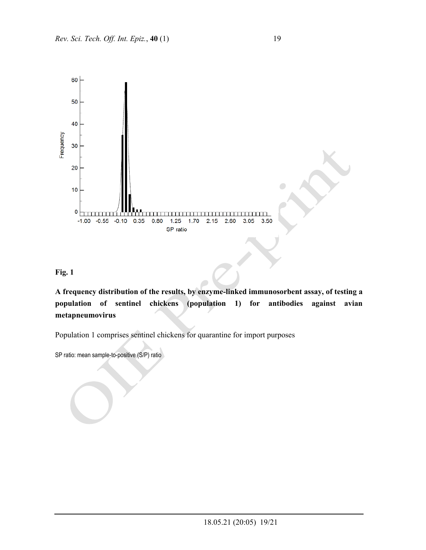

### **Fig. 1**

**A frequency distribution of the results, by enzyme-linked immunosorbent assay, of testing a population of sentinel chickens (population 1) for antibodies against avian metapneumovirus** 

Population 1 comprises sentinel chickens for quarantine for import purposes

SP ratio: mean sample-to-positive (S/P) ratio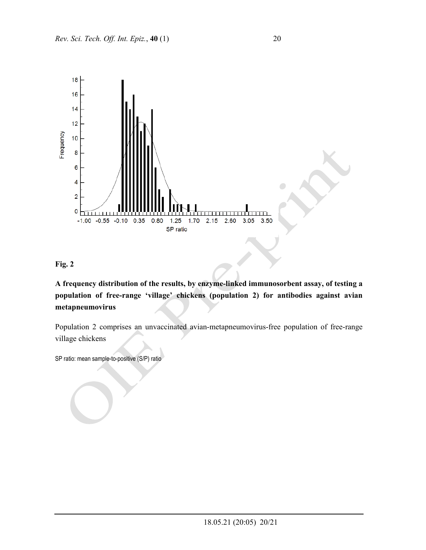



**A frequency distribution of the results, by enzyme-linked immunosorbent assay, of testing a population of free-range 'village' chickens (population 2) for antibodies against avian metapneumovirus** 

Population 2 comprises an unvaccinated avian-metapneumovirus-free population of free-range village chickens

SP ratio: mean sample-to-positive (S/P) ratio